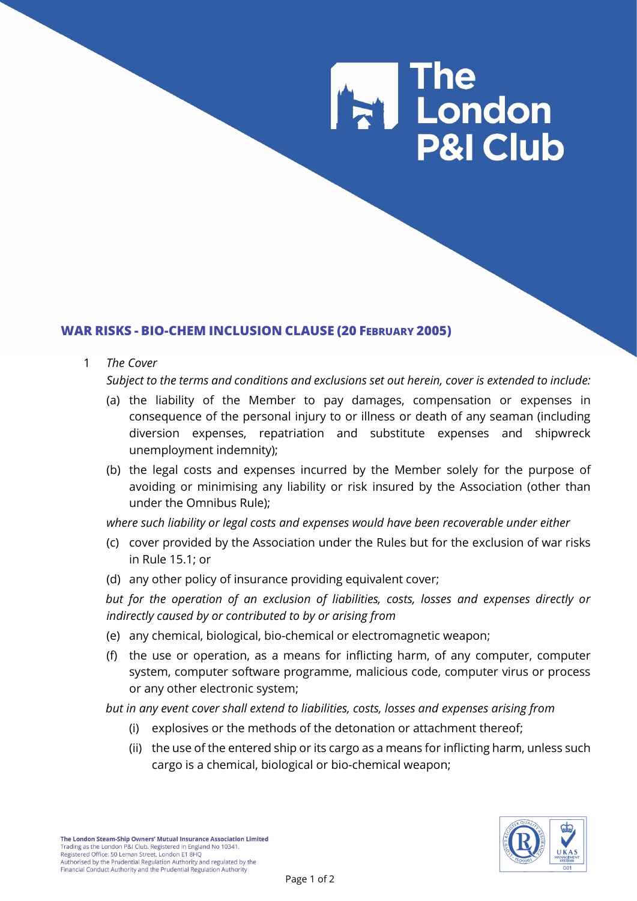# The<br>The London **P&I Club**

# **WAR RISKS - BIO-CHEM INCLUSION CLAUSE (20 FEBRUARY 2005)**

#### 1 *The Cover*

*Subject to the terms and conditions and exclusions set out herein, cover is extended to include:*

- (a) the liability of the Member to pay damages, compensation or expenses in consequence of the personal injury to or illness or death of any seaman (including diversion expenses, repatriation and substitute expenses and shipwreck unemployment indemnity);
- (b) the legal costs and expenses incurred by the Member solely for the purpose of avoiding or minimising any liability or risk insured by the Association (other than under the Omnibus Rule);

*where such liability or legal costs and expenses would have been recoverable under either*

- (c) cover provided by the Association under the Rules but for the exclusion of war risks in Rule 15.1; or
- (d) any other policy of insurance providing equivalent cover;

*but for the operation of an exclusion of liabilities, costs, losses and expenses directly or indirectly caused by or contributed to by or arising from*

- (e) any chemical, biological, bio-chemical or electromagnetic weapon;
- (f) the use or operation, as a means for inflicting harm, of any computer, computer system, computer software programme, malicious code, computer virus or process or any other electronic system;

*but in any event cover shall extend to liabilities, costs, losses and expenses arising from*

- (i) explosives or the methods of the detonation or attachment thereof;
- (ii) the use of the entered ship or its cargo as a means for inflicting harm, unless such cargo is a chemical, biological or bio-chemical weapon;